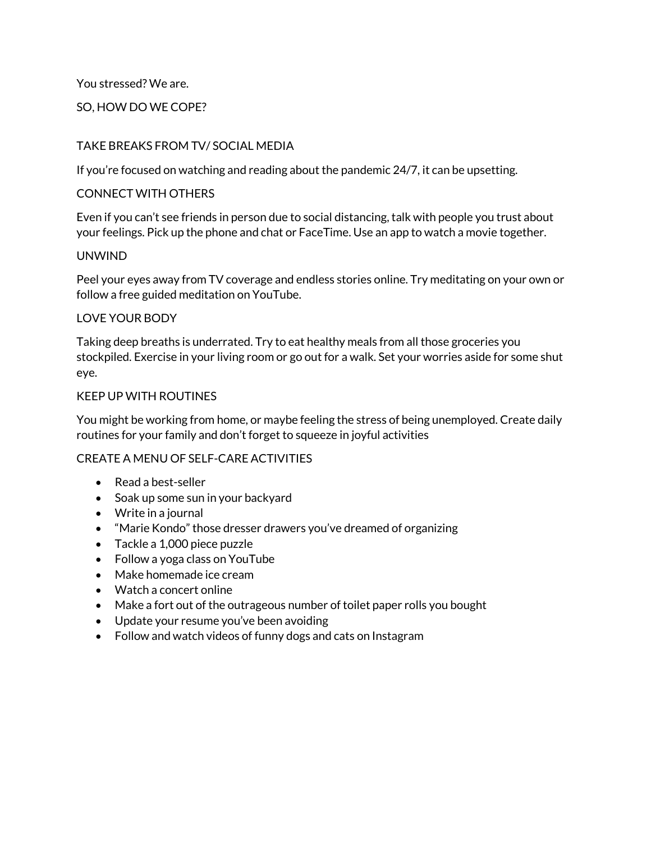You stressed? We are.

# SO, HOW DO WE COPE?

# TAKE BREAKS FROM TV/ SOCIAL MEDIA

If you're focused on watching and reading about the pandemic 24/7, it can be upsetting.

# CONNECT WITH OTHERS

Even if you can't see friends in person due to social distancing, talk with people you trust about your feelings. Pick up the phone and chat or FaceTime. Use an app to watch a movie together.

# UNWIND

Peel your eyes away from TV coverage and endless stories online. Try meditating on your own or follow a free guided meditation on YouTube.

# LOVE YOUR BODY

Taking deep breaths is underrated. Try to eat healthy meals from all those groceries you stockpiled. Exercise in your living room or go out for a walk. Set your worries aside for some shut eye.

### KEEP UP WITH ROUTINES

You might be working from home, or maybe feeling the stress of being unemployed. Create daily routines for your family and don't forget to squeeze in joyful activities

# CREATE A MENU OF SELF-CARE ACTIVITIES

- Read a best-seller
- Soak up some sun in your backyard
- Write in a journal
- "Marie Kondo" those dresser drawers you've dreamed of organizing
- Tackle a 1,000 piece puzzle
- Follow a yoga class on YouTube
- Make homemade ice cream
- Watch a concert online
- Make a fort out of the outrageous number of toilet paper rolls you bought
- Update your resume you've been avoiding
- Follow and watch videos of funny dogs and cats on Instagram